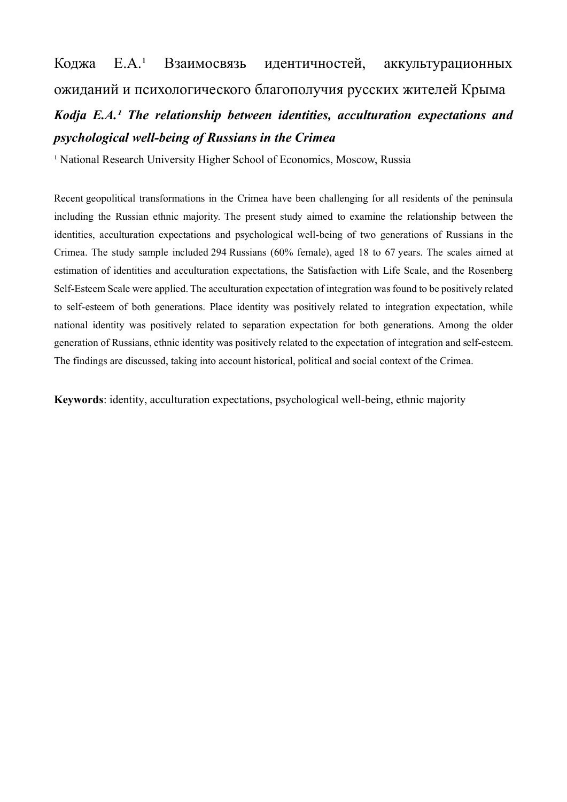# Коджа Е.А.<sup>1</sup> Взаимосвязь идентичностей, аккультурационных ожиданий и психологического благополучия русских жителей Крыма

# *Kodja E.A.<sup>1</sup> The relationship between identities, acculturation expectations and psychological well-being of Russians in the Crimea*

<sup>1</sup> National Research University Higher School of Economics, Moscow, Russia

Recent geopolitical transformations in the Crimea have been challenging for all residents of the peninsula including the Russian ethnic majority. The present study aimed to examine the relationship between the identities, acculturation expectations and psychological well-being of two generations of Russians in the Crimea. The study sample included 294 Russians (60% female), aged 18 to 67 years. The scales aimed at estimation of identities and acculturation expectations, the Satisfaction with Life Scale, and the Rosenberg Self-Esteem Scale were applied. The acculturation expectation of integration was found to be positively related to self-esteem of both generations. Place identity was positively related to integration expectation, while national identity was positively related to separation expectation for both generations. Among the older generation of Russians, ethnic identity was positively related to the expectation of integration and self-esteem. The findings are discussed, taking into account historical, political and social context of the Crimea.

**Keywords**: identity, acculturation expectations, psychological well-being, ethnic majority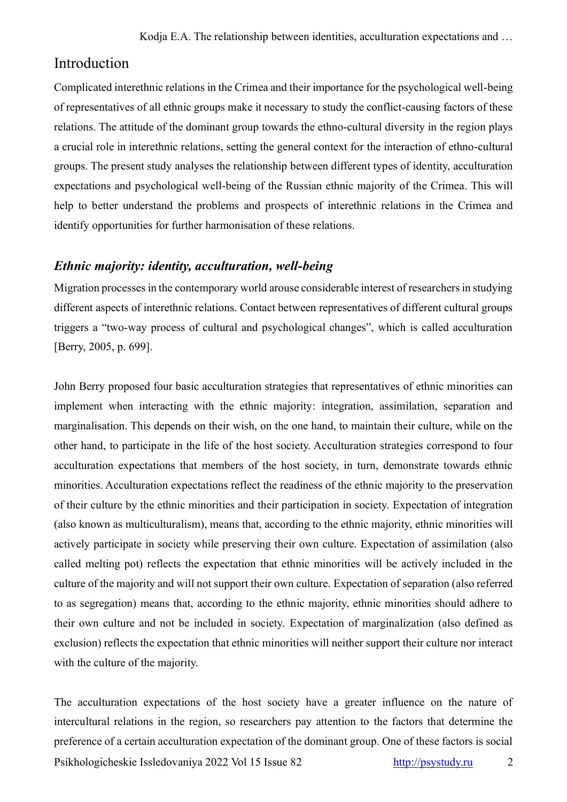# Introduction

Complicated interethnic relations in the Crimea and their importance for the psychological well-being of representatives of all ethnic groups make it necessary to study the conflict-causing factors of these relations. The attitude of the dominant group towards the ethno-cultural diversity in the region plays a crucial role in interethnic relations, setting the general context for the interaction of ethno-cultural groups. The present study analyses the relationship between different types of identity, acculturation expectations and psychological well-being of the Russian ethnic majority of the Crimea. This will help to better understand the problems and prospects of interethnic relations in the Crimea and identify opportunities for further harmonisation of these relations.

# *Ethnic majority: identity, acculturation, well-being*

Migration processes in the contemporary world arouse considerable interest of researchers in studying different aspects of interethnic relations. Contact between representatives of different cultural groups triggers a "two-way process of cultural and psychological changes", which is called acculturation [Berry, 2005, p. 699].

John Berry proposed four basic acculturation strategies that representatives of ethnic minorities can implement when interacting with the ethnic majority: integration, assimilation, separation and marginalisation. This depends on their wish, on the one hand, to maintain their culture, while on the other hand, to participate in the life of the host society. Acculturation strategies correspond to four acculturation expectations that members of the host society, in turn, demonstrate towards ethnic minorities. Acculturation expectations reflect the readiness of the ethnic majority to the preservation of their culture by the ethnic minorities and their participation in society. Expectation of integration (also known as multiculturalism), means that, according to the ethnic majority, ethnic minorities will actively participate in society while preserving their own culture. Expectation of assimilation (also called melting pot) reflects the expectation that ethnic minorities will be actively included in the culture of the majority and will not support their own culture. Expectation of separation (also referred to as segregation) means that, according to the ethnic majority, ethnic minorities should adhere to their own culture and not be included in society. Expectation of marginalization (also defined as exclusion) reflects the expectation that ethnic minorities will neither support their culture nor interact with the culture of the majority.

Psikhologicheskie Issledovaniya 2022 Vol 15 Issue 82 [http://psystudy.ru](http://psystudy.ru/) 2 The acculturation expectations of the host society have a greater influence on the nature of intercultural relations in the region, so researchers pay attention to the factors that determine the preference of a certain acculturation expectation of the dominant group. One of these factors is social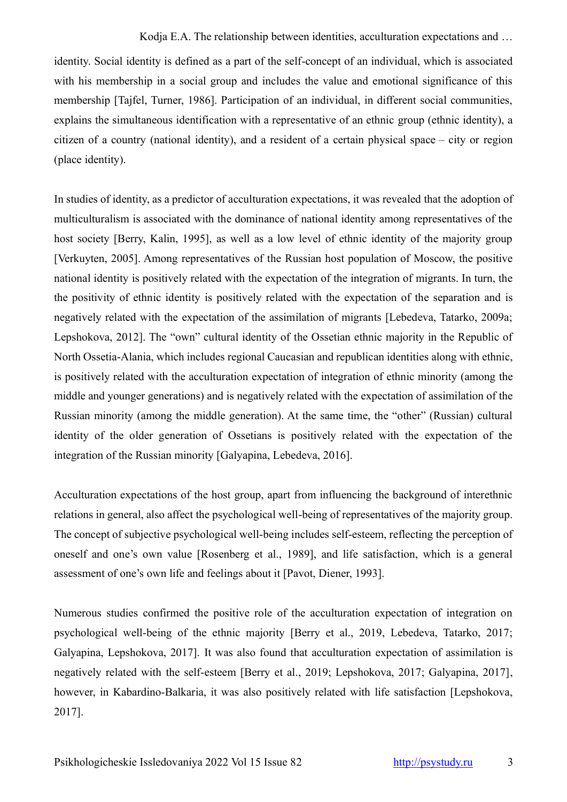identity. Social identity is defined as a part of the self-concept of an individual, which is associated with his membership in a social group and includes the value and emotional significance of this membership [Tajfel, Turner, 1986]. Participation of an individual, in different social communities, explains the simultaneous identification with a representative of an ethnic group (ethnic identity), a citizen of a country (national identity), and a resident of a certain physical space – city or region (place identity).

In studies of identity, as a predictor of acculturation expectations, it was revealed that the adoption of multiculturalism is associated with the dominance of national identity among representatives of the host society [Berry, Kalin, 1995], as well as a low level of ethnic identity of the majority group [Verkuyten, 2005]. Among representatives of the Russian host population of Moscow, the positive national identity is positively related with the expectation of the integration of migrants. In turn, the the positivity of ethnic identity is positively related with the expectation of the separation and is negatively related with the expectation of the assimilation of migrants [Lebedeva, Tatarko, 2009a; Lepshokova, 2012]. The "own" cultural identity of the Ossetian ethnic majority in the Republic of North Ossetia-Alania, which includes regional Caucasian and republican identities along with ethnic, is positively related with the acculturation expectation of integration of ethnic minority (among the middle and younger generations) and is negatively related with the expectation of assimilation of the Russian minority (among the middle generation). At the same time, the "other" (Russian) cultural identity of the older generation of Ossetians is positively related with the expectation of the integration of the Russian minority [Galyapina, Lebedeva, 2016].

Acculturation expectations of the host group, apart from influencing the background of interethnic relations in general, also affect the psychological well-being of representatives of the majority group. The concept of subjective psychological well-being includes self-esteem, reflecting the perception of oneself and one's own value [Rosenberg et al., 1989], and life satisfaction, which is a general assessment of one's own life and feelings about it [Pavot, Diener, 1993].

Numerous studies confirmed the positive role of the acculturation expectation of integration on psychological well-being of the ethnic majority [Berry et al., 2019, Lebedeva, Tatarko, 2017; Galyapina, Lepshokova, 2017]. It was also found that acculturation expectation of assimilation is negatively related with the self-esteem [Berry et al., 2019; Lepshokova, 2017; Galyapina, 2017], however, in Kabardino-Balkaria, it was also positively related with life satisfaction [Lepshokova, 2017].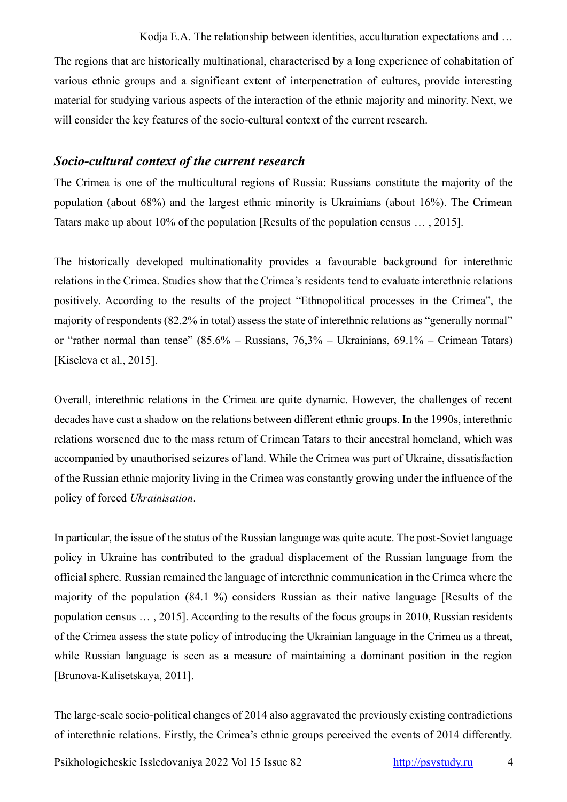The regions that are historically multinational, characterised by a long experience of cohabitation of various ethnic groups and a significant extent of interpenetration of cultures, provide interesting material for studying various aspects of the interaction of the ethnic majority and minority. Next, we will consider the key features of the socio-cultural context of the current research.

# *Socio-cultural context of the current research*

The Crimea is one of the multicultural regions of Russia: Russians constitute the majority of the population (about 68%) and the largest ethnic minority is Ukrainians (about 16%). The Crimean Tatars make up about 10% of the population [Results of the population census … , 2015].

The historically developed multinationality provides a favourable background for interethnic relations in the Crimea. Studies show that the Crimea's residents tend to evaluate interethnic relations positively. According to the results of the project "Ethnopolitical processes in the Crimea", the majority of respondents (82.2% in total) assess the state of interethnic relations as "generally normal" or "rather normal than tense" (85.6% – Russians, 76,3% – Ukrainians, 69.1% – Crimean Tatars) [Kiseleva et al., 2015].

Overall, interethnic relations in the Crimea are quite dynamic. However, the challenges of recent decades have cast a shadow on the relations between different ethnic groups. In the 1990s, interethnic relations worsened due to the mass return of Crimean Tatars to their ancestral homeland, which was accompanied by unauthorised seizures of land. While the Crimea was part of Ukraine, dissatisfaction of the Russian ethnic majority living in the Crimea was constantly growing under the influence of the policy of forced *Ukrainisation*.

In particular, the issue of the status of the Russian language was quite acute. The post-Soviet language policy in Ukraine has contributed to the gradual displacement of the Russian language from the official sphere. Russian remained the language of interethnic communication in the Crimea where the majority of the population (84.1 %) considers Russian as their native language [Results of the population census … , 2015]. According to the results of the focus groups in 2010, Russian residents of the Crimea assess the state policy of introducing the Ukrainian language in the Crimea as a threat, while Russian language is seen as a measure of maintaining a dominant position in the region [Brunova-Kalisetskaya, 2011].

The large-scale socio-political changes of 2014 also aggravated the previously existing contradictions of interethnic relations. Firstly, the Crimea's ethnic groups perceived the events of 2014 differently.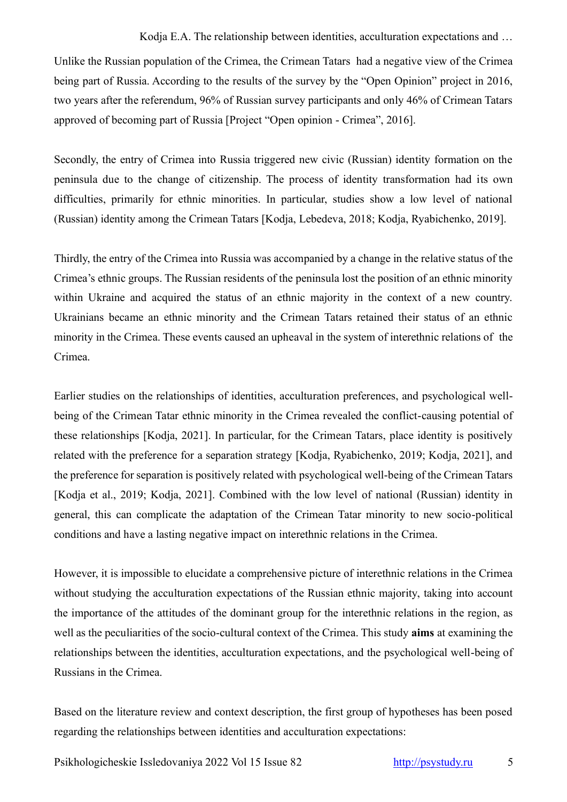Unlike the Russian population of the Crimea, the Crimean Tatars had a negative view of the Crimea being part of Russia. According to the results of the survey by the "Open Opinion" project in 2016, two years after the referendum, 96% of Russian survey participants and only 46% of Crimean Tatars approved of becoming part of Russia [Project "Open opinion - Crimea", 2016].

Secondly, the entry of Crimea into Russia triggered new civic (Russian) identity formation on the peninsula due to the change of citizenship. The process of identity transformation had its own difficulties, primarily for ethnic minorities. In particular, studies show a low level of national (Russian) identity among the Crimean Tatars [Kodja, Lebedeva, 2018; Kodja, Ryabichenko, 2019].

Thirdly, the entry of the Crimea into Russia was accompanied by a change in the relative status of the Crimea's ethnic groups. The Russian residents of the peninsula lost the position of an ethnic minority within Ukraine and acquired the status of an ethnic majority in the context of a new country. Ukrainians became an ethnic minority and the Crimean Tatars retained their status of an ethnic minority in the Crimea. These events caused an upheaval in the system of interethnic relations of the Crimea.

Earlier studies on the relationships of identities, acculturation preferences, and psychological wellbeing of the Crimean Tatar ethnic minority in the Crimea revealed the conflict-causing potential of these relationships [Kodja, 2021]. In particular, for the Crimean Tatars, place identity is positively related with the preference for a separation strategy [Kodja, Ryabichenko, 2019; Kodja, 2021], and the preference for separation is positively related with psychological well-being of the Crimean Tatars [Kodja et al., 2019; Kodja, 2021]. Combined with the low level of national (Russian) identity in general, this can complicate the adaptation of the Crimean Tatar minority to new socio-political conditions and have a lasting negative impact on interethnic relations in the Crimea.

However, it is impossible to elucidate a comprehensive picture of interethnic relations in the Crimea without studying the acculturation expectations of the Russian ethnic majority, taking into account the importance of the attitudes of the dominant group for the interethnic relations in the region, as well as the peculiarities of the socio-cultural context of the Crimea. This study **aims** at examining the relationships between the identities, acculturation expectations, and the psychological well-being of Russians in the Crimea.

Based on the literature review and context description, the first group of hypotheses has been posed regarding the relationships between identities and acculturation expectations: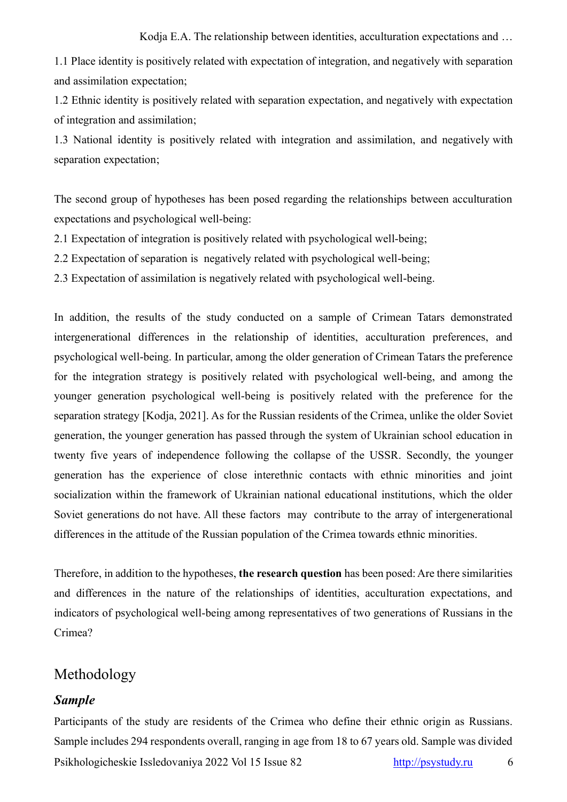1.1 Place identity is positively related with expectation of integration, and negatively with separation and assimilation expectation;

1.2 Ethnic identity is positively related with separation expectation, and negatively with expectation of integration and assimilation;

1.3 National identity is positively related with integration and assimilation, and negatively with separation expectation;

The second group of hypotheses has been posed regarding the relationships between acculturation expectations and psychological well-being:

2.1 Expectation of integration is positively related with psychological well-being;

- 2.2 Expectation of separation is negatively related with psychological well-being;
- 2.3 Expectation of assimilation is negatively related with psychological well-being.

In addition, the results of the study conducted on a sample of Crimean Tatars demonstrated intergenerational differences in the relationship of identities, acculturation preferences, and psychological well-being. In particular, among the older generation of Crimean Tatars the preference for the integration strategy is positively related with psychological well-being, and among the younger generation psychological well-being is positively related with the preference for the separation strategy [Kodja, 2021]. As for the Russian residents of the Crimea, unlike the older Soviet generation, the younger generation has passed through the system of Ukrainian school education in twenty five years of independence following the collapse of the USSR. Secondly, the younger generation has the experience of close interethnic contacts with ethnic minorities and joint socialization within the framework of Ukrainian national educational institutions, which the older Soviet generations do not have. All these factors may contribute to the array of intergenerational differences in the attitude of the Russian population of the Crimea towards ethnic minorities.

Therefore, in addition to the hypotheses, **the research question** has been posed: Are there similarities and differences in the nature of the relationships of identities, acculturation expectations, and indicators of psychological well-being among representatives of two generations of Russians in the Crimea?

# Methodology

#### *Sample*

Psikhologicheskie Issledovaniya 2022 Vol 15 Issue 82 [http://psystudy.ru](http://psystudy.ru/) 6 Participants of the study are residents of the Crimea who define their ethnic origin as Russians. Sample includes 294 respondents overall, ranging in age from 18 to 67 years old. Sample was divided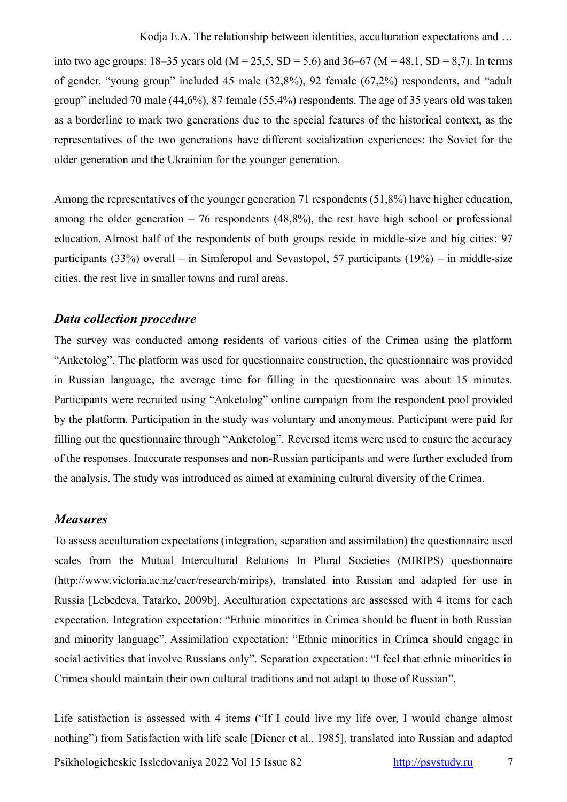into two age groups:  $18-35$  years old (M = 25,5, SD = 5,6) and  $36-67$  (M = 48,1, SD = 8,7). In terms of gender, "young group" included 45 male (32,8%), 92 female (67,2%) respondents, and "adult group" included 70 male (44,6%), 87 female (55,4%) respondents. The age of 35 years old was taken as a borderline to mark two generations due to the special features of the historical context, as the representatives of the two generations have different socialization experiences: the Soviet for the older generation and the Ukrainian for the younger generation.

Among the representatives of the younger generation 71 respondents (51,8%) have higher education, among the older generation  $-76$  respondents (48,8%), the rest have high school or professional education. Almost half of the respondents of both groups reside in middle-size and big cities: 97 participants (33%) overall – in Simferopol and Sevastopol, 57 participants (19%) – in middle-size cities, the rest live in smaller towns and rural areas.

#### *Data collection procedure*

The survey was conducted among residents of various cities of the Crimea using the platform "Anketolog". The platform was used for questionnaire construction, the questionnaire was provided in Russian language, the average time for filling in the questionnaire was about 15 minutes. Participants were recruited using "Anketolog" online campaign from the respondent pool provided by the platform. Participation in the study was voluntary and anonymous. Participant were paid for filling out the questionnaire through "Anketolog". Reversed items were used to ensure the accuracy of the responses. Inaccurate responses and non-Russian participants and were further excluded from the analysis. The study was introduced as aimed at examining cultural diversity of the Crimea.

#### *Measures*

To assess acculturation expectations (integration, separation and assimilation) the questionnaire used scales from the Mutual Intercultural Relations In Plural Societies (MIRIPS) questionnaire (http://www.victoria.ac.nz/cacr/research/mirips), translated into Russian and adapted for use in Russia [Lebedeva, Tatarko, 2009b]. Acculturation expectations are assessed with 4 items for each expectation. Integration expectation: "Ethnic minorities in Crimea should be fluent in both Russian and minority language". Assimilation expectation: "Ethnic minorities in Crimea should engage in social activities that involve Russians only". Separation expectation: "I feel that ethnic minorities in Crimea should maintain their own cultural traditions and not adapt to those of Russian".

Psikhologicheskie Issledovaniya 2022 Vol 15 Issue 82 [http://psystudy.ru](http://psystudy.ru/) 7 Life satisfaction is assessed with 4 items ("If I could live my life over, I would change almost nothing") from Satisfaction with life scale [Diener et al., 1985], translated into Russian and adapted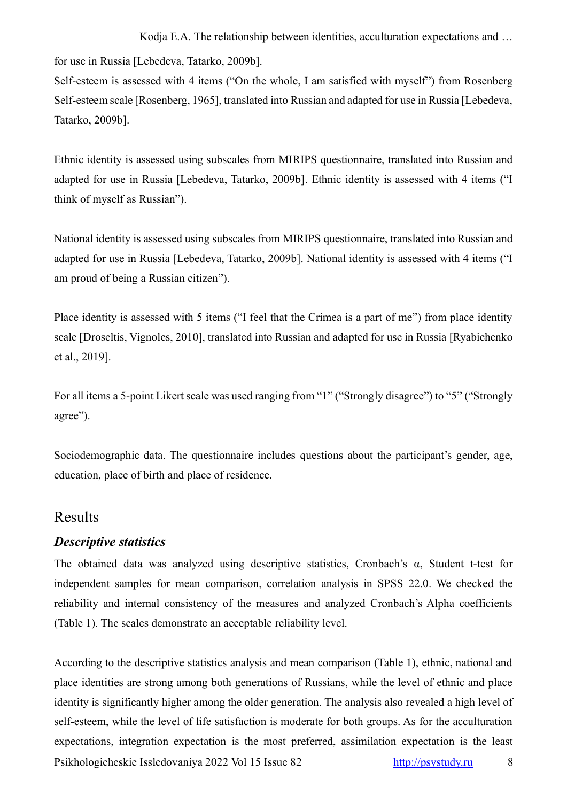for use in Russia [Lebedeva, Tatarko, 2009b].

Self-esteem is assessed with 4 items ("On the whole, I am satisfied with myself") from Rosenberg Self-esteem scale [Rosenberg, 1965], translated into Russian and adapted for use in Russia [Lebedeva, Tatarko, 2009b].

Ethnic identity is assessed using subscales from MIRIPS questionnaire, translated into Russian and adapted for use in Russia [Lebedeva, Tatarko, 2009b]. Ethnic identity is assessed with 4 items ("I think of myself as Russian").

National identity is assessed using subscales from MIRIPS questionnaire, translated into Russian and adapted for use in Russia [Lebedeva, Tatarko, 2009b]. National identity is assessed with 4 items ("I am proud of being a Russian citizen").

Place identity is assessed with 5 items ("I feel that the Crimea is a part of me") from place identity scale [Droseltis, Vignoles, 2010], translated into Russian and adapted for use in Russia [Ryabichenko et al., 2019].

For all items a 5-point Likert scale was used ranging from "1" ("Strongly disagree") to "5" ("Strongly agree").

Sociodemographic data. The questionnaire includes questions about the participant's gender, age, education, place of birth and place of residence.

# Results

#### *Descriptive statistics*

The obtained data was analyzed using descriptive statistics, Cronbach's α, Student t-test for independent samples for mean comparison, correlation analysis in SPSS 22.0. We checked the reliability and internal consistency of the measures and analyzed Cronbach's Alpha coefficients (Table 1). The scales demonstrate an acceptable reliability level.

Psikhologicheskie Issledovaniya 2022 Vol 15 Issue 82 [http://psystudy.ru](http://psystudy.ru/) 8 According to the descriptive statistics analysis and mean comparison (Table 1), ethnic, national and place identities are strong among both generations of Russians, while the level of ethnic and place identity is significantly higher among the older generation. The analysis also revealed a high level of self-esteem, while the level of life satisfaction is moderate for both groups. As for the acculturation expectations, integration expectation is the most preferred, assimilation expectation is the least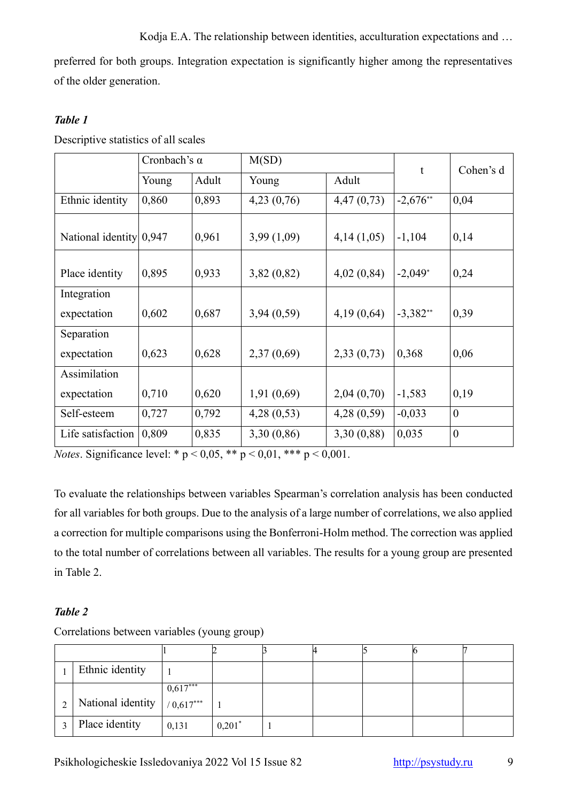preferred for both groups. Integration expectation is significantly higher among the representatives of the older generation.

# *Table 1*

Descriptive statistics of all scales

|                         | Cronbach's $\alpha$ |       | M(SD)          |            | t           | Cohen's d        |  |
|-------------------------|---------------------|-------|----------------|------------|-------------|------------------|--|
|                         | Young               | Adult | Adult<br>Young |            |             |                  |  |
| Ethnic identity         | 0,860               | 0,893 | 4,23(0,76)     | 4,47(0,73) | $-2,676$ ** | 0,04             |  |
| National identity 0,947 |                     | 0,961 | 3,99(1,09)     | 4,14(1,05) | $-1,104$    | 0,14             |  |
| Place identity          | 0,895               | 0,933 | 3,82(0,82)     | 4,02(0,84) | $-2,049*$   | 0,24             |  |
| Integration             |                     |       |                |            |             |                  |  |
| expectation             | 0,602               | 0,687 | 3,94(0,59)     | 4,19(0,64) | $-3,382**$  | 0,39             |  |
| Separation              |                     |       |                |            |             |                  |  |
| expectation             | 0,623               | 0,628 | 2,37(0,69)     | 2,33(0,73) | 0,368       | 0,06             |  |
| Assimilation            |                     |       |                |            |             |                  |  |
| expectation             | 0,710               | 0,620 | 1,91(0,69)     | 2,04(0,70) | $-1,583$    | 0,19             |  |
| Self-esteem             | 0,727               | 0,792 | 4,28(0,53)     | 4,28(0,59) | $-0,033$    | $\boldsymbol{0}$ |  |
| Life satisfaction       | 0,809               | 0,835 | 3,30(0,86)     | 3,30(0,88) | 0,035       | $\overline{0}$   |  |

*Notes*. Significance level: \*  $p < 0.05$ , \*\*  $p < 0.01$ , \*\*\*  $p < 0.001$ .

To evaluate the relationships between variables Spearman's correlation analysis has been conducted for all variables for both groups. Due to the analysis of a large number of correlations, we also applied a correction for multiple comparisons using the Bonferroni-Holm method. The correction was applied to the total number of correlations between all variables. The results for a young group are presented in Table 2.

# *Table 2*

| Ethnic identity               |            |          |  |  |  |
|-------------------------------|------------|----------|--|--|--|
|                               | $0,617***$ |          |  |  |  |
| National identity $/0.617***$ |            |          |  |  |  |
| Place identity                | 0,131      | $0,201*$ |  |  |  |

Correlations between variables (young group)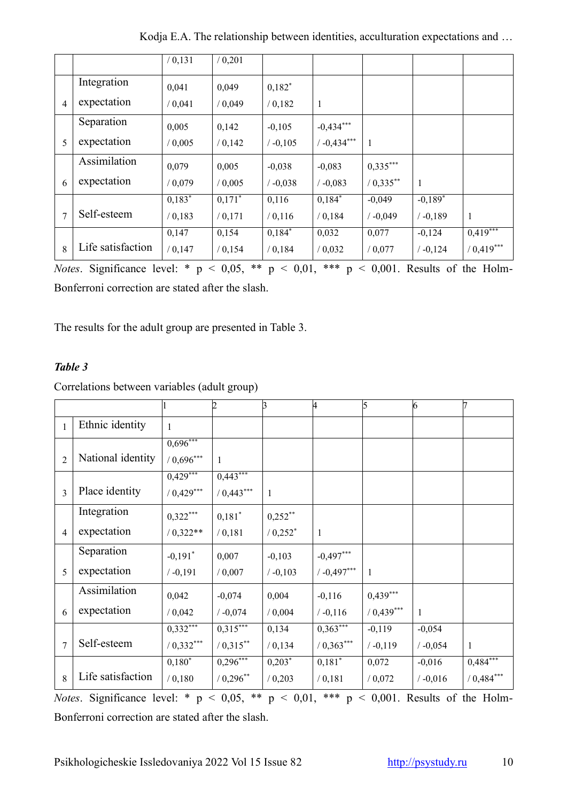|                |                   | / 0, 131 | / 0,201   |            |               |              |            |             |
|----------------|-------------------|----------|-----------|------------|---------------|--------------|------------|-------------|
|                | Integration       | 0,041    | 0,049     | $0,182^*$  |               |              |            |             |
| $\overline{4}$ | expectation       | / 0,041  | / 0,049   | / 0,182    | $\mathbf{1}$  |              |            |             |
|                | Separation        | 0,005    | 0,142     | $-0,105$   | $-0,434***$   |              |            |             |
| 5              | expectation       | 0,005    | / 0,142   | $/ -0,105$ | $/ -0.434***$ | $\mathbf{1}$ |            |             |
|                | Assimilation      | 0,079    | 0,005     | $-0,038$   | $-0,083$      | $0,335***$   |            |             |
| 6              | expectation       | / 0,079  | / 0,005   | $/ -0.038$ | $/ -0,083$    | $/ 0,335$ ** | 1          |             |
|                |                   | $0,183*$ | $0,171^*$ | 0,116      | $0,184*$      | $-0,049$     | $-0.189*$  |             |
| 7              | Self-esteem       | / 0,183  | / 0, 171  | / 0, 116   | / 0,184       | $/ -0,049$   | $/ -0.189$ | 1           |
|                |                   | 0,147    | 0,154     | $0,184*$   | 0,032         | 0,077        | $-0,124$   | 0,419       |
| 8              | Life satisfaction | / 0,147  | / 0, 154  | / 0,184    | / 0,032       | / 0,077      | $/ -0,124$ | $(0,419***$ |

Kodja E.A. The relationship between identities, acculturation expectations and …

*Notes*. Significance level: \* p < 0,05, \*\* p < 0,01, \*\*\* p < 0,001. Results of the Holm-Bonferroni correction are stated after the slash.

The results for the adult group are presented in Table 3.

# *Table 3*

Correlations between variables (adult group)

|                |                   |                          | $\overline{2}$ | $\beta$      | 4             | 5            | 6            |              |
|----------------|-------------------|--------------------------|----------------|--------------|---------------|--------------|--------------|--------------|
| $\mathbf{1}$   | Ethnic identity   | $\mathbf{1}$             |                |              |               |              |              |              |
|                |                   | $0,\!696***$             |                |              |               |              |              |              |
| $\overline{c}$ | National identity | $/ 0,696***$             | $\mathbf{1}$   |              |               |              |              |              |
|                |                   | $0,\overline{429}^{***}$ | $0,443***$     |              |               |              |              |              |
| 3              | Place identity    | $/ 0.429***$             | $/ 0,443***$   | $\mathbf{1}$ |               |              |              |              |
|                | Integration       | $0,322***$               | $0,181*$       | $0,252**$    |               |              |              |              |
| $\overline{4}$ | expectation       | $/ 0.322**$              | / 0,181        | $/ 0.252$ *  | $\mathbf{1}$  |              |              |              |
|                | Separation        | $-0,191$ <sup>*</sup>    | 0,007          | $-0,103$     | $-0,497***$   |              |              |              |
| 5              | expectation       | $/ -0,191$               | / 0,007        | $/ -0,103$   | $/ -0.497***$ | 1            |              |              |
|                | Assimilation      | 0,042                    | $-0,074$       | 0,004        | $-0,116$      | $0,439***$   |              |              |
| 6              | expectation       | / 0,042                  | $/ -0,074$     | / 0,004      | $/ -0,116$    | $/ 0,439***$ | $\mathbf{1}$ |              |
|                |                   | $0,332***$               | $0,315***$     | 0,134        | $0,363***$    | $-0,119$     | $-0,054$     |              |
| $\overline{7}$ | Self-esteem       | $/ 0,332***$             | $/ 0.315$ **   | / 0, 134     | $/ 0,363***$  | $/ -0,119$   | $/ -0,054$   | $\mathbf{1}$ |
|                |                   | $0,180^*$                | $0,296***$     | $0,203*$     | $0,181^*$     | 0,072        | $-0,016$     | $0,484***$   |
| 8              | Life satisfaction | / 0,180                  | $/ 0,296***$   | / 0,203      | / 0,181       | / 0,072      | $/ -0,016$   | $/ 0,484***$ |

*Notes*. Significance level: \* p < 0,05, \*\* p < 0,01, \*\*\* p < 0,001. Results of the Holm-Bonferroni correction are stated after the slash.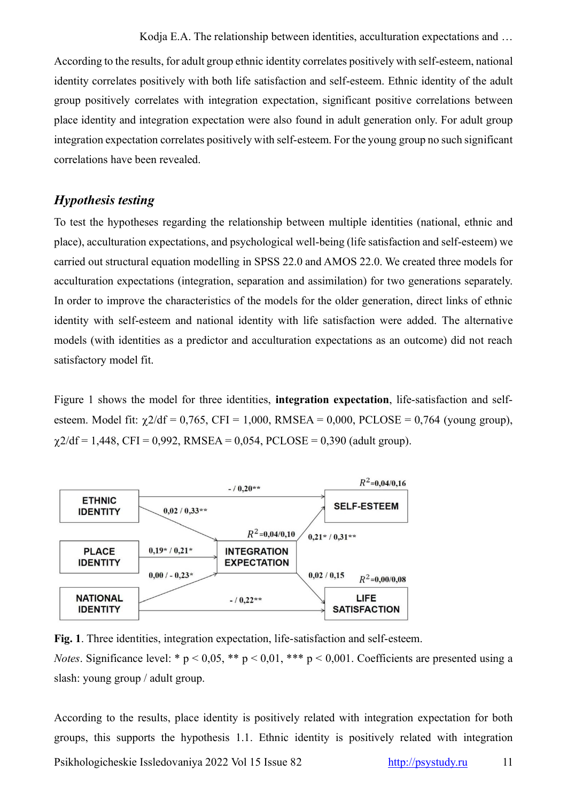According to the results, for adult group ethnic identity correlates positively with self-esteem, national identity correlates positively with both life satisfaction and self-esteem. Ethnic identity of the adult group positively correlates with integration expectation, significant positive correlations between place identity and integration expectation were also found in adult generation only. For adult group integration expectation correlates positively with self-esteem. For the young group no such significant correlations have been revealed.

# *Hypothesis testing*

To test the hypotheses regarding the relationship between multiple identities (national, ethnic and place), acculturation expectations, and psychological well-being (life satisfaction and self-esteem) we carried out structural equation modelling in SPSS 22.0 and AMOS 22.0. We created three models for acculturation expectations (integration, separation and assimilation) for two generations separately. In order to improve the characteristics of the models for the older generation, direct links of ethnic identity with self-esteem and national identity with life satisfaction were added. The alternative models (with identities as a predictor and acculturation expectations as an outcome) did not reach satisfactory model fit.

Figure 1 shows the model for three identities, **integration expectation**, life-satisfaction and selfesteem. Model fit:  $\chi$ 2/df = 0,765, CFI = 1,000, RMSEA = 0,000, PCLOSE = 0,764 (young group),  $\chi$ 2/df = 1,448, CFI = 0,992, RMSEA = 0,054, PCLOSE = 0,390 (adult group).



**Fig. 1**. Three identities, integration expectation, life-satisfaction and self-esteem.

*Notes*. Significance level: \*  $p < 0.05$ , \*\*  $p < 0.01$ , \*\*\*  $p < 0.001$ . Coefficients are presented using a slash: young group / adult group.

Psikhologicheskie Issledovaniya 2022 Vol 15 Issue 82 [http://psystudy.ru](http://psystudy.ru/) 11 According to the results, place identity is positively related with integration expectation for both groups, this supports the hypothesis 1.1. Ethnic identity is positively related with integration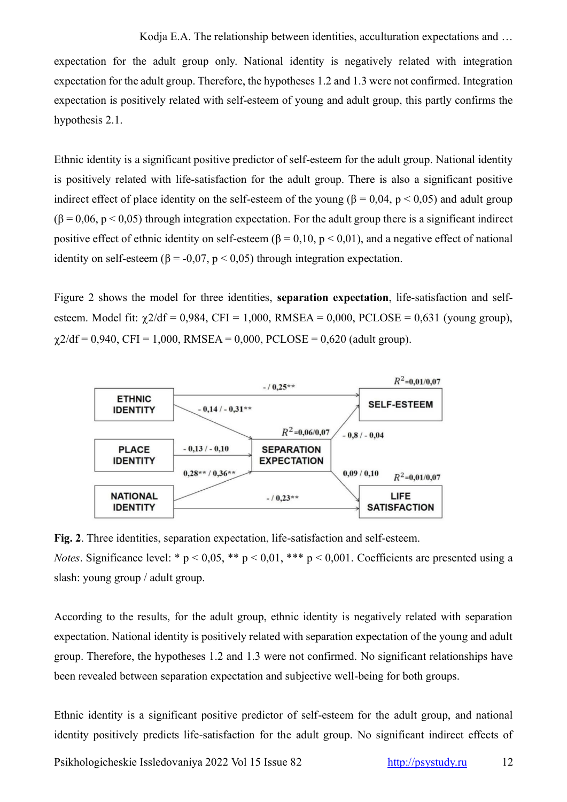expectation for the adult group only. National identity is negatively related with integration expectation for the adult group. Therefore, the hypotheses 1.2 and 1.3 were not confirmed. Integration expectation is positively related with self-esteem of young and adult group, this partly confirms the hypothesis 2.1.

Ethnic identity is a significant positive predictor of self-esteem for the adult group. National identity is positively related with life-satisfaction for the adult group. There is also a significant positive indirect effect of place identity on the self-esteem of the young ( $\beta = 0.04$ ,  $p < 0.05$ ) and adult group  $(\beta = 0.06, p < 0.05)$  through integration expectation. For the adult group there is a significant indirect positive effect of ethnic identity on self-esteem ( $\beta = 0.10$ ,  $p < 0.01$ ), and a negative effect of national identity on self-esteem ( $\beta$  = -0,07, p < 0,05) through integration expectation.

Figure 2 shows the model for three identities, **separation expectation**, life-satisfaction and selfesteem. Model fit:  $\gamma$ 2/df = 0,984, CFI = 1,000, RMSEA = 0,000, PCLOSE = 0,631 (young group),  $\gamma$ 2/df = 0,940, CFI = 1,000, RMSEA = 0,000, PCLOSE = 0,620 (adult group).



**Fig. 2**. Three identities, separation expectation, life-satisfaction and self-esteem.

*Notes*. Significance level: \*  $p < 0.05$ , \*\*  $p < 0.01$ , \*\*\*  $p < 0.001$ . Coefficients are presented using a slash: young group / adult group.

According to the results, for the adult group, ethnic identity is negatively related with separation expectation. National identity is positively related with separation expectation of the young and adult group. Therefore, the hypotheses 1.2 and 1.3 were not confirmed. No significant relationships have been revealed between separation expectation and subjective well-being for both groups.

Ethnic identity is a significant positive predictor of self-esteem for the adult group, and national identity positively predicts life-satisfaction for the adult group. No significant indirect effects of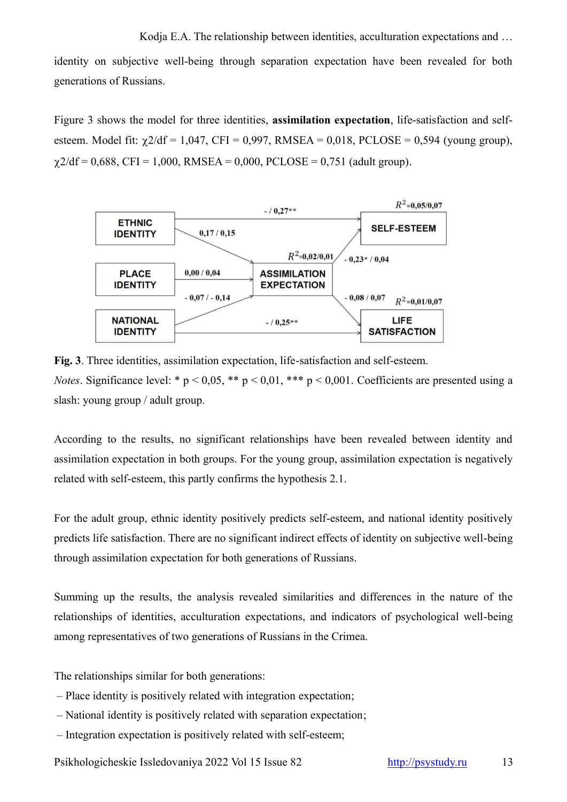identity on subjective well-being through separation expectation have been revealed for both generations of Russians.

Figure 3 shows the model for three identities, **assimilation expectation**, life-satisfaction and selfesteem. Model fit:  $\chi$ 2/df = 1,047, CFI = 0,997, RMSEA = 0,018, PCLOSE = 0,594 (young group),  $\gamma$ 2/df = 0,688, CFI = 1,000, RMSEA = 0,000, PCLOSE = 0,751 (adult group).



**Fig. 3**. Three identities, assimilation expectation, life-satisfaction and self-esteem. *Notes*. Significance level: \*  $p < 0.05$ , \*\*  $p < 0.01$ , \*\*\*  $p < 0.001$ . Coefficients are presented using a slash: young group / adult group.

According to the results, no significant relationships have been revealed between identity and assimilation expectation in both groups. For the young group, assimilation expectation is negatively related with self-esteem, this partly confirms the hypothesis 2.1.

For the adult group, ethnic identity positively predicts self-esteem, and national identity positively predicts life satisfaction. There are no significant indirect effects of identity on subjective well-being through assimilation expectation for both generations of Russians.

Summing up the results, the analysis revealed similarities and differences in the nature of the relationships of identities, acculturation expectations, and indicators of psychological well-being among representatives of two generations of Russians in the Crimea.

The relationships similar for both generations:

- Place identity is positively related with integration expectation;
- National identity is positively related with separation expectation;
- Integration expectation is positively related with self-esteem;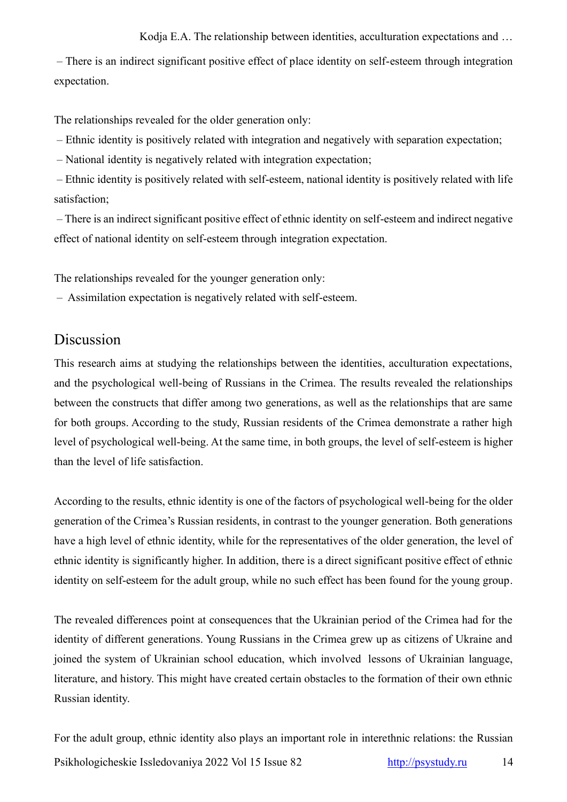– There is an indirect significant positive effect of place identity on self-esteem through integration expectation.

The relationships revealed for the older generation only:

– Ethnic identity is positively related with integration and negatively with separation expectation;

– National identity is negatively related with integration expectation;

– Ethnic identity is positively related with self-esteem, national identity is positively related with life satisfaction;

– There is an indirect significant positive effect of ethnic identity on self-esteem and indirect negative effect of national identity on self-esteem through integration expectation.

The relationships revealed for the younger generation only:

– Assimilation expectation is negatively related with self-esteem.

# Discussion

This research aims at studying the relationships between the identities, acculturation expectations, and the psychological well-being of Russians in the Crimea. The results revealed the relationships between the constructs that differ among two generations, as well as the relationships that are same for both groups. According to the study, Russian residents of the Crimea demonstrate a rather high level of psychological well-being. At the same time, in both groups, the level of self-esteem is higher than the level of life satisfaction.

According to the results, ethnic identity is one of the factors of psychological well-being for the older generation of the Crimea's Russian residents, in contrast to the younger generation. Both generations have a high level of ethnic identity, while for the representatives of the older generation, the level of ethnic identity is significantly higher. In addition, there is a direct significant positive effect of ethnic identity on self-esteem for the adult group, while no such effect has been found for the young group.

The revealed differences point at consequences that the Ukrainian period of the Crimea had for the identity of different generations. Young Russians in the Crimea grew up as citizens of Ukraine and joined the system of Ukrainian school education, which involved lessons of Ukrainian language, literature, and history. This might have created certain obstacles to the formation of their own ethnic Russian identity.

Psikhologicheskie Issledovaniya 2022 Vol 15 Issue 82 [http://psystudy.ru](http://psystudy.ru/) 14 For the adult group, ethnic identity also plays an important role in interethnic relations: the Russian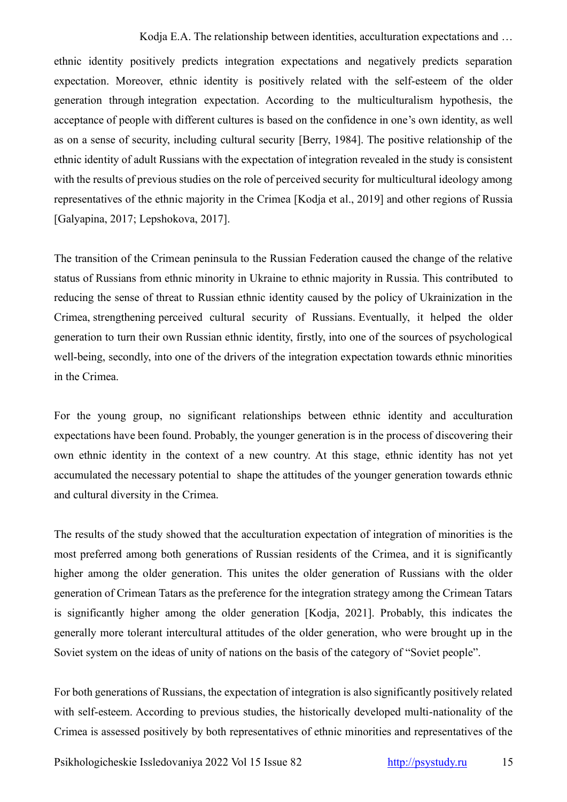ethnic identity positively predicts integration expectations and negatively predicts separation expectation. Moreover, ethnic identity is positively related with the self-esteem of the older generation through integration expectation. According to the multiculturalism hypothesis, the acceptance of people with different cultures is based on the confidence in one's own identity, as well as on a sense of security, including cultural security [Berry, 1984]. The positive relationship of the ethnic identity of adult Russians with the expectation of integration revealed in the study is consistent with the results of previous studies on the role of perceived security for multicultural ideology among representatives of the ethnic majority in the Crimea [Kodja et al., 2019] and other regions of Russia [Galyapina, 2017; Lepshokova, 2017].

The transition of the Crimean peninsula to the Russian Federation caused the change of the relative status of Russians from ethnic minority in Ukraine to ethnic majority in Russia. This contributed to reducing the sense of threat to Russian ethnic identity caused by the policy of Ukrainization in the Crimea, strengthening perceived cultural security of Russians. Eventually, it helped the older generation to turn their own Russian ethnic identity, firstly, into one of the sources of psychological well-being, secondly, into one of the drivers of the integration expectation towards ethnic minorities in the Crimea.

For the young group, no significant relationships between ethnic identity and acculturation expectations have been found. Probably, the younger generation is in the process of discovering their own ethnic identity in the context of a new country. At this stage, ethnic identity has not yet accumulated the necessary potential to shape the attitudes of the younger generation towards ethnic and cultural diversity in the Crimea.

The results of the study showed that the acculturation expectation of integration of minorities is the most preferred among both generations of Russian residents of the Crimea, and it is significantly higher among the older generation. This unites the older generation of Russians with the older generation of Crimean Tatars as the preference for the integration strategy among the Crimean Tatars is significantly higher among the older generation [Kodja, 2021]. Probably, this indicates the generally more tolerant intercultural attitudes of the older generation, who were brought up in the Soviet system on the ideas of unity of nations on the basis of the category of "Soviet people".

For both generations of Russians, the expectation of integration is also significantly positively related with self-esteem. According to previous studies, the historically developed multi-nationality of the Crimea is assessed positively by both representatives of ethnic minorities and representatives of the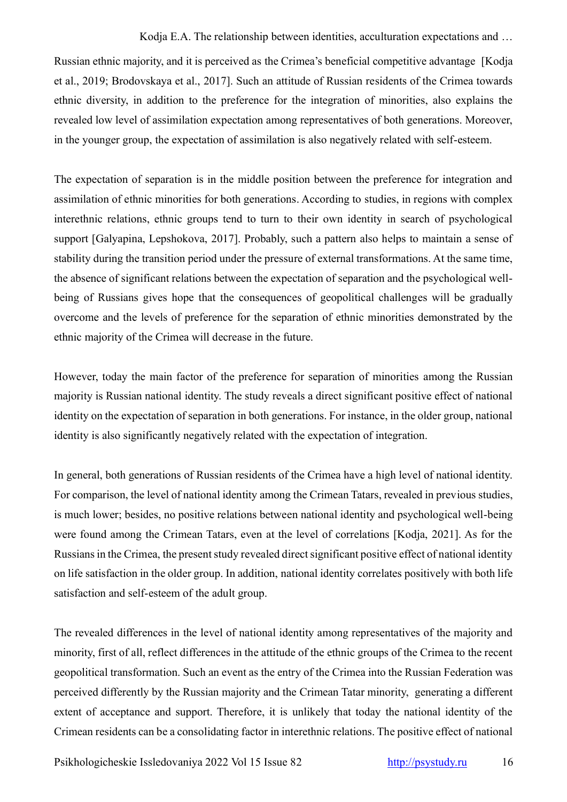Russian ethnic majority, and it is perceived as the Crimea's beneficial competitive advantage [Kodja et al., 2019; Brodovskaya et al., 2017]. Such an attitude of Russian residents of the Crimea towards ethnic diversity, in addition to the preference for the integration of minorities, also explains the revealed low level of assimilation expectation among representatives of both generations. Moreover, in the younger group, the expectation of assimilation is also negatively related with self-esteem.

The expectation of separation is in the middle position between the preference for integration and assimilation of ethnic minorities for both generations. According to studies, in regions with complex interethnic relations, ethnic groups tend to turn to their own identity in search of psychological support [Galyapina, Lepshokova, 2017]. Probably, such a pattern also helps to maintain a sense of stability during the transition period under the pressure of external transformations. At the same time, the absence of significant relations between the expectation of separation and the psychological wellbeing of Russians gives hope that the consequences of geopolitical challenges will be gradually overcome and the levels of preference for the separation of ethnic minorities demonstrated by the ethnic majority of the Crimea will decrease in the future.

However, today the main factor of the preference for separation of minorities among the Russian majority is Russian national identity. The study reveals a direct significant positive effect of national identity on the expectation of separation in both generations. For instance, in the older group, national identity is also significantly negatively related with the expectation of integration.

In general, both generations of Russian residents of the Crimea have a high level of national identity. For comparison, the level of national identity among the Crimean Tatars, revealed in previous studies, is much lower; besides, no positive relations between national identity and psychological well-being were found among the Crimean Tatars, even at the level of correlations [Kodja, 2021]. As for the Russians in the Crimea, the present study revealed direct significant positive effect of national identity on life satisfaction in the older group. In addition, national identity correlates positively with both life satisfaction and self-esteem of the adult group.

The revealed differences in the level of national identity among representatives of the majority and minority, first of all, reflect differences in the attitude of the ethnic groups of the Crimea to the recent geopolitical transformation. Such an event as the entry of the Crimea into the Russian Federation was perceived differently by the Russian majority and the Crimean Tatar minority, generating a different extent of acceptance and support. Therefore, it is unlikely that today the national identity of the Crimean residents can be a consolidating factor in interethnic relations. The positive effect of national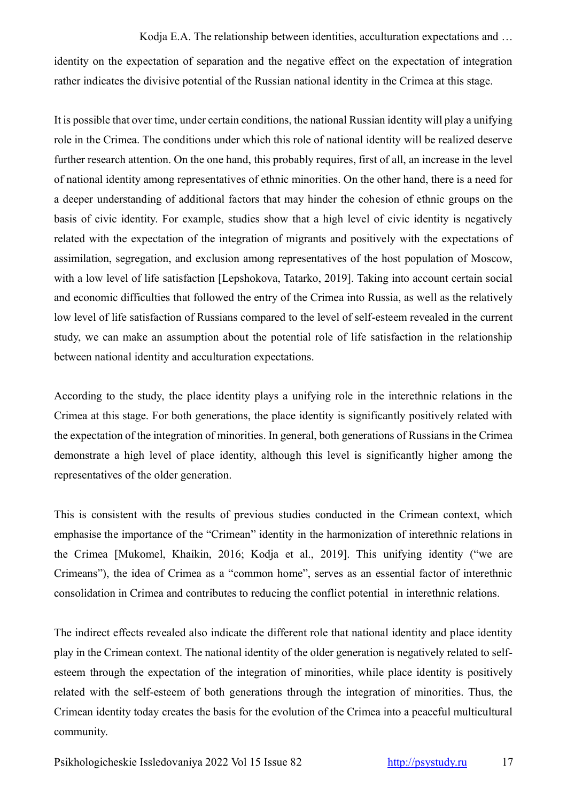identity on the expectation of separation and the negative effect on the expectation of integration rather indicates the divisive potential of the Russian national identity in the Crimea at this stage.

It is possible that over time, under certain conditions, the national Russian identity will play a unifying role in the Crimea. The conditions under which this role of national identity will be realized deserve further research attention. On the one hand, this probably requires, first of all, an increase in the level of national identity among representatives of ethnic minorities. On the other hand, there is a need for a deeper understanding of additional factors that may hinder the cohesion of ethnic groups on the basis of civic identity. For example, studies show that a high level of civic identity is negatively related with the expectation of the integration of migrants and positively with the expectations of assimilation, segregation, and exclusion among representatives of the host population of Moscow, with a low level of life satisfaction [Lepshokova, Tatarko, 2019]. Taking into account certain social and economic difficulties that followed the entry of the Crimea into Russia, as well as the relatively low level of life satisfaction of Russians compared to the level of self-esteem revealed in the current study, we can make an assumption about the potential role of life satisfaction in the relationship between national identity and acculturation expectations.

According to the study, the place identity plays a unifying role in the interethnic relations in the Crimea at this stage. For both generations, the place identity is significantly positively related with the expectation of the integration of minorities. In general, both generations of Russians in the Crimea demonstrate a high level of place identity, although this level is significantly higher among the representatives of the older generation.

This is consistent with the results of previous studies conducted in the Crimean context, which emphasise the importance of the "Crimean" identity in the harmonization of interethnic relations in the Crimea [Mukomel, Khaikin, 2016; Kodja et al., 2019]. This unifying identity ("we are Crimeans"), the idea of Crimea as a "common home", serves as an essential factor of interethnic consolidation in Crimea and contributes to reducing the conflict potential in interethnic relations.

The indirect effects revealed also indicate the different role that national identity and place identity play in the Crimean context. The national identity of the older generation is negatively related to selfesteem through the expectation of the integration of minorities, while place identity is positively related with the self-esteem of both generations through the integration of minorities. Thus, the Crimean identity today creates the basis for the evolution of the Crimea into a peaceful multicultural community.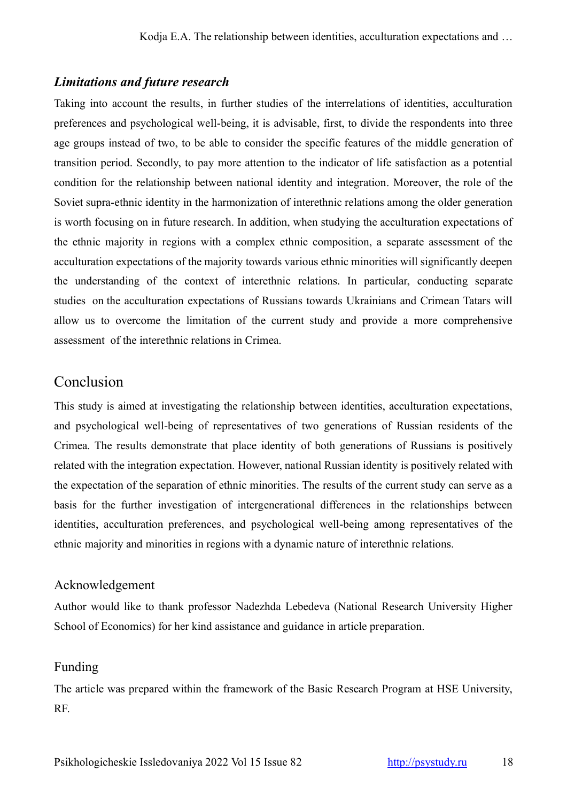# *Limitations and future research*

Taking into account the results, in further studies of the interrelations of identities, acculturation preferences and psychological well-being, it is advisable, first, to divide the respondents into three age groups instead of two, to be able to consider the specific features of the middle generation of transition period. Secondly, to pay more attention to the indicator of life satisfaction as a potential condition for the relationship between national identity and integration. Moreover, the role of the Soviet supra-ethnic identity in the harmonization of interethnic relations among the older generation is worth focusing on in future research. In addition, when studying the acculturation expectations of the ethnic majority in regions with a complex ethnic composition, a separate assessment of the acculturation expectations of the majority towards various ethnic minorities will significantly deepen the understanding of the context of interethnic relations. In particular, conducting separate studies on the acculturation expectations of Russians towards Ukrainians and Crimean Tatars will allow us to overcome the limitation of the current study and provide a more comprehensive assessment of the interethnic relations in Crimea.

# Conclusion

This study is aimed at investigating the relationship between identities, acculturation expectations, and psychological well-being of representatives of two generations of Russian residents of the Crimea. The results demonstrate that place identity of both generations of Russians is positively related with the integration expectation. However, national Russian identity is positively related with the expectation of the separation of ethnic minorities. The results of the current study can serve as a basis for the further investigation of intergenerational differences in the relationships between identities, acculturation preferences, and psychological well-being among representatives of the ethnic majority and minorities in regions with a dynamic nature of interethnic relations.

#### Acknowledgement

Author would like to thank professor Nadezhda Lebedeva (National Research University Higher School of Economics) for her kind assistance and guidance in article preparation.

# Funding

The article was prepared within the framework of the Basic Research Program at HSE University, RF.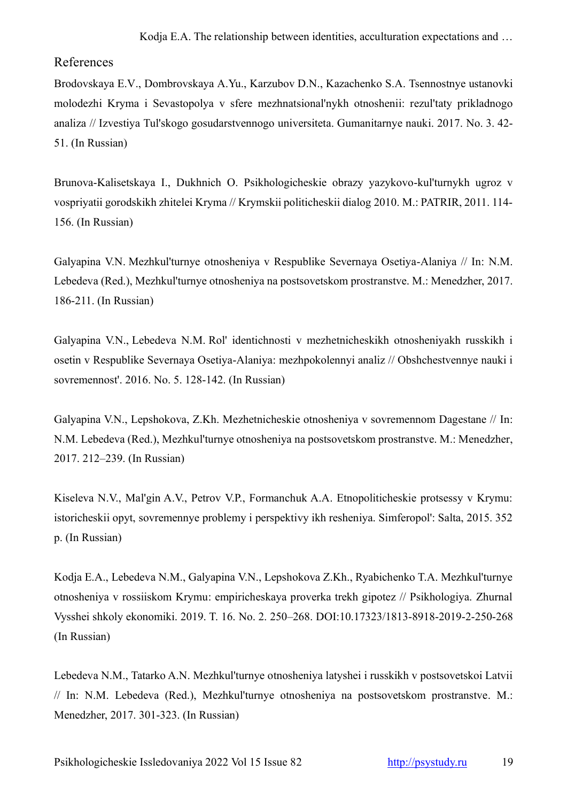#### References

Brodovskaya E.V., Dombrovskaya A.Yu., Karzubov D.N., Kazachenko S.A. Tsennostnye ustanovki molodezhi Kryma i Sevastopolya v sfere mezhnatsional'nykh otnoshenii: rezul'taty prikladnogo analiza // Izvestiya Tul'skogo gosudarstvennogo universiteta. Gumanitarnye nauki. 2017. No. 3. 42- 51. (In Russian)

Brunova-Kalisetskaya I., Dukhnich O. Psikhologicheskie obrazy yazykovo-kul'turnykh ugroz v vospriyatii gorodskikh zhitelei Kryma // Krymskii politicheskii dialog 2010. М.: PATRIR, 2011. 114- 156. (In Russian)

Galyapina V.N. Mezhkul'turnye otnosheniya v Respublike Severnaya Osetiya-Alaniya // In: N.M. Lebedeva (Red.), Mezhkul'turnye otnosheniya na postsovetskom prostranstve. M.: Menedzher, 2017. 186-211. (In Russian)

Galyapina V.N., Lebedeva N.M. Rol' identichnosti v mezhetnicheskikh otnosheniyakh russkikh i osetin v Respublike Severnaya Osetiya-Alaniya: mezhpokolennyi analiz // Obshchestvennye nauki i sovremennost'. 2016. No. 5. 128-142. (In Russian)

Galyapina V.N., Lepshokova, Z.Kh. Mezhetnicheskie otnosheniya v sovremennom Dagestane // In: N.M. Lebedeva (Red.), Mezhkul'turnye otnosheniya na postsovetskom prostranstve. M.: Menedzher, 2017. 212–239. (In Russian)

Kiseleva N.V., Mal'gin A.V., Petrov V.P., Formanchuk A.A. Etnopoliticheskie protsessy v Krymu: istoricheskii opyt, sovremennye problemy i perspektivy ikh resheniya. Simferopol': Salta, 2015. 352 р. (In Russian)

Kodja E.A., Lebedeva N.M., Galyapina V.N., Lepshokova Z.Kh., Ryabichenko T.A. Mezhkul'turnye otnosheniya v rossiiskom Krymu: empiricheskaya proverka trekh gipotez // Psikhologiya. Zhurnal Vysshei shkoly ekonomiki. 2019. T. 16. No. 2. 250–268. DOI[:10.17323/1813-8918-2019-2-250-268](http://doi.org/10.17323/1813-8918-2019-2-250-268) (In Russian)

Lebedeva N.M., Tatarko A.N. Mezhkul'turnye otnosheniya latyshei i russkikh v postsovetskoi Latvii // In: N.M. Lebedeva (Red.), Mezhkul'turnye otnosheniya na postsovetskom prostranstve. M.: Menedzher, 2017. 301-323. (In Russian)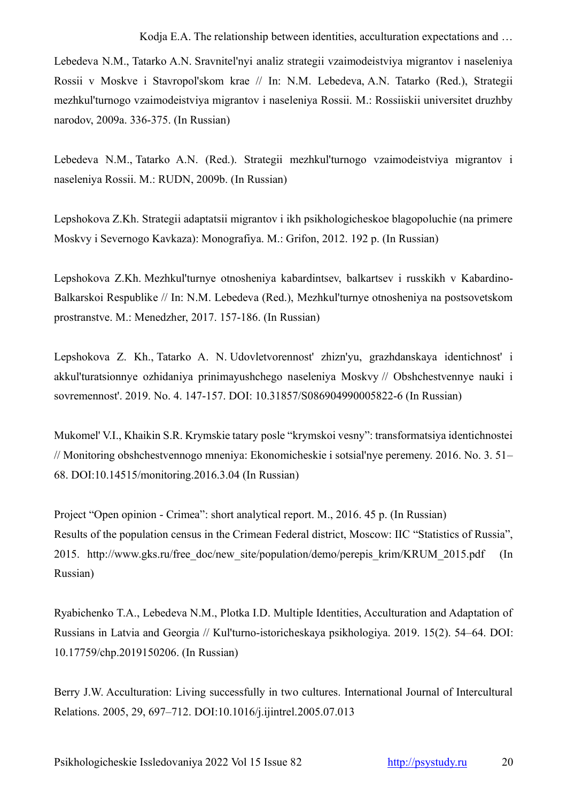Lebedeva N.M., Tatarko A.N. Sravnitel'nyi analiz strategii vzaimodeistviya migrantov i naseleniya Rossii v Moskve i Stavropol'skom krae // In: N.M. Lebedeva, A.N. Tatarko (Red.), Strategii mezhkul'turnogo vzaimodeistviya migrantov i naseleniya Rossii. M.: Rossiiskii universitet druzhby narodov, 2009a. 336-375. (In Russian)

Lebedeva N.M., Tatarko A.N. (Red.). Strategii mezhkul'turnogo vzaimodeistviya migrantov i naseleniya Rossii. M.: RUDN, 2009b. (In Russian)

Lepshokova Z.Kh. Strategii adaptatsii migrantov i ikh psikhologicheskoe blagopoluchie (na primere Moskvy i Severnogo Kavkaza): Monografiya. M.: Grifon, 2012. 192 p. (In Russian)

Lepshokova Z.Kh. Mezhkul'turnye otnosheniya kabardintsev, balkartsev i russkikh v Kabardino-Balkarskoi Respublike // In: N.M. Lebedeva (Red.), Mezhkul'turnye otnosheniya na postsovetskom prostranstve. M.: Menedzher, 2017. 157-186. (In Russian)

Lepshokova Z. Kh., Tatarko A. N. Udovletvorennost' zhizn'yu, grazhdanskaya identichnost' i akkul'turatsionnye ozhidaniya prinimayushchego naseleniya Moskvy // Obshchestvennye nauki i sovremennost'. 2019. No. 4. 147-157. DOI: 10.31857/S086904990005822-6 (In Russian)

Mukomel' V.I., Khaikin S.R. Krymskie tatary posle "krymskoi vesny": transformatsiya identichnostei // Monitoring obshchestvennogo mneniya: Ekonomicheskie i sotsial'nye peremeny. 2016. No. 3. 51– 68. DOI:10.14515/monitoring.2016.3.04 (In Russian)

Project "Open opinion - Crimea": short analytical report. М., 2016. 45 p. (In Russian) Results of the population census in the Crimean Federal district, Moscow: IIC "Statistics of Russia", 2015. http://www.gks.ru/free\_doc/new\_site/population/demo/perepis\_krim/KRUM\_2015.pdf (In Russian)

Ryabichenko T.A., Lebedeva N.M., Plotka I.D. Multiple Identities, Acculturation and Adaptation of Russians in Latvia and Georgia // Kul'turno-istoricheskaya psikhologiya. 2019. 15(2). 54–64. DOI: 10.17759/chp.2019150206. (In Russian)

Berry J.W. Acculturation: Living successfully in two cultures. International Journal of Intercultural Relations. 2005, 29, 697–712. DOI:10.1016/j.ijintrel.2005.07.013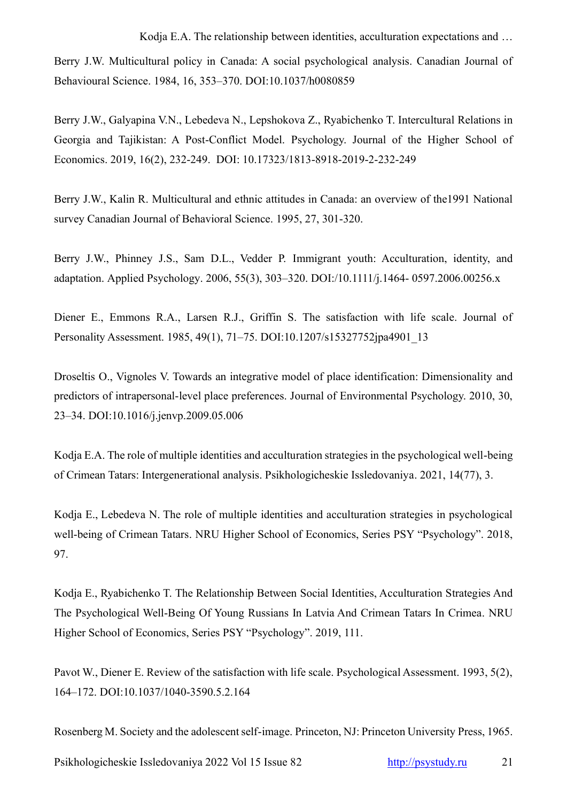Berry J.W. Multicultural policy in Canada: A social psychological analysis. Canadian Journal of Behavioural Science. 1984, 16, 353–370. DOI:10.1037/h0080859

[Berry J.W.,](https://www.hse.ru/en/org/persons/124178813) Galyapina V.N., Lebedeva N., Lepshokova Z., Ryabichenko T. Intercultural Relations in Georgia and Tajikistan: A Post-Conflict Model. Psychology. Journal of the Higher School of Economics. 2019, 16(2), 232-249. [DOI: 10.17323/1813-8918-2019-2-232-249](http://doi.org/10.17323/1813-8918-2019-2-232-249)

Berry J.W., Kalin R. Multicultural and ethnic attitudes in Canada: an overview of the1991 National survey Canadian Journal of Behavioral Science. 1995, 27, 301-320.

Berry J.W., Phinney J.S., Sam D.L., Vedder P. Immigrant youth: Acculturation, identity, and adaptation. Applied Psychology. 2006, 55(3), 303–320. DOI:/10.1111/j.1464- 0597.2006.00256.x

Diener E., Emmons R.A., Larsen R.J., Griffin S. The satisfaction with life scale. Journal of Personality Assessment. 1985, 49(1), 71–75. DOI[:10.1207/s15327752jpa4901\\_13](https://doi.org/10.1207/s15327752jpa4901_13)

Droseltis O., Vignoles V. Towards an integrative model of place identification: Dimensionality and predictors of intrapersonal-level place preferences. Journal of Environmental Psychology. 2010, 30, 23–34. DOI:10.1016/j.jenvp.2009.05.006

Kodja E.A. The role of multiple identities and acculturation strategies in the psychological well-being of Crimean Tatars: Intergenerational analysis. Psikhologicheskie Issledovaniya. 2021, 14(77), 3.

Kodja E., [Lebedeva N.](https://www.hse.ru/en/org/persons/140031) [The role of multiple identities and acculturation strategies in psychological](https://publications.hse.ru/view/226229342)  [well-being of Crimean Tatars.](https://publications.hse.ru/view/226229342) NRU Higher School of Economics, Series PSY "Psychology". 2018, 97.

Kodja E., [Ryabichenko T.](https://www.hse.ru/en/org/persons/36853282) The Relationship Between Social Identities, Acculturation Strategies And The Psychological Well-Being Of Young Russians In Latvia And Crimean Tatars In Crimea. NRU Higher School of Economics, Series PSY "Psychology". 2019, 111.

Pavot W., Diener E. Review of the satisfaction with life scale. Psychological Assessment. 1993, 5(2), 164–172. DOI:10.1037/1040-3590.5.2.164

Rosenberg M. Society and the adolescent self-image. Princeton, NJ: Princeton University Press, 1965.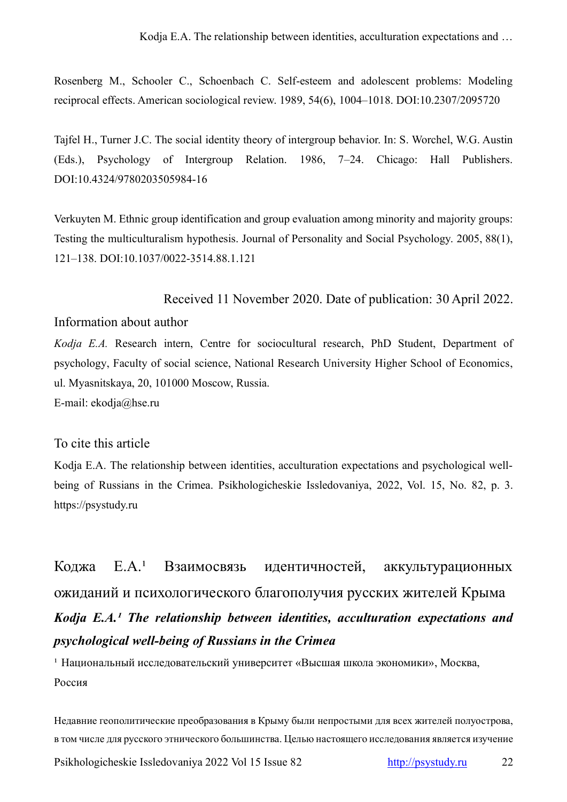Rosenberg M., Schooler C., Schoenbach C. Self-esteem and adolescent problems: Modeling reciprocal effects. American sociological review. 1989, 54(6), 1004–1018. DOI:10.2307/2095720

Tajfel H., Turner J.C. The social identity theory of intergroup behavior. In: S. Worchel, W.G. Austin (Eds.), Psychology of Intergroup Relation. 1986, 7–24. Chicago: Hall Publishers. DOI:10.4324/9780203505984-16

Verkuyten M. Ethnic group identification and group evaluation among minority and majority groups: Testing the multiculturalism hypothesis. Journal of Personality and Social Psychology. 2005, 88(1), 121–138. DOI:10.1037/0022-3514.88.1.121

Received 11 November 2020. Date of publication: 30 April 2022.

#### Information about author

*Kodja E.A.* Research intern, Centre for sociocultural research, PhD Student, Department of psychology, Faculty of social science, National Research University Higher School of Economics, ul. Myasnitskaya, 20, 101000 Moscow, Russia.

E-mail: ekodja@hse.ru

# To cite this article

Kodja E.A. The relationship between identities, acculturation expectations and psychological wellbeing of Russians in the Crimea. Psikhologicheskie Issledovaniya, 2022, Vol. 15, No. 82, p. 3. https://psystudy.ru

Коджа Е.А.<sup>1</sup> Взаимосвязь идентичностей, аккультурационных ожиданий и психологического благополучия русских жителей Крыма *Kodja E.A.<sup>1</sup> The relationship between identities, acculturation expectations and psychological well-being of Russians in the Crimea*

<sup>1</sup> Национальный исследовательский университет «Высшая школа экономики», Москва, Россия

Недавние геополитические преобразования в Крыму были непростыми для всех жителей полуострова, в том числе для русского этнического большинства. Целью настоящего исследования является изучение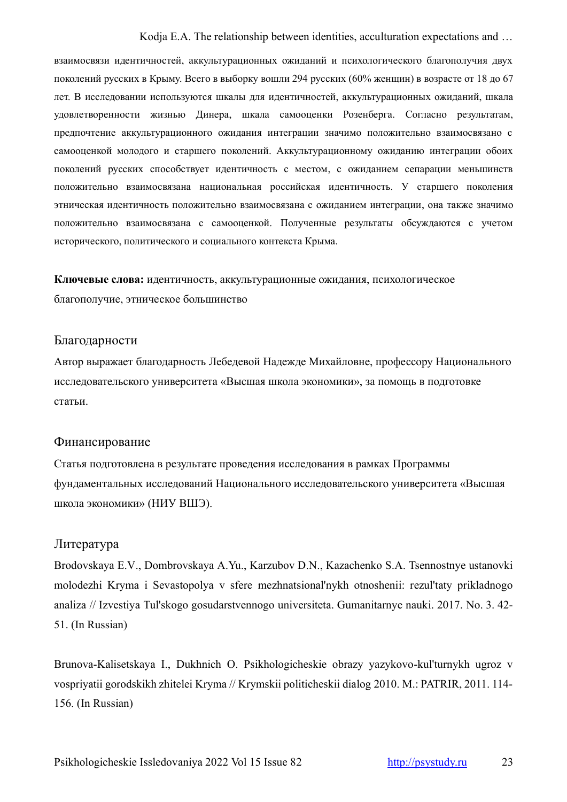взаимосвязи идентичностей, аккультурационных ожиданий и психологического благополучия двух поколений русских в Крыму. Всего в выборку вошли 294 русских (60% женщин) в возрасте от 18 до 67 лет. В исследовании используются шкалы для идентичностей, аккультурационных ожиданий, шкала удовлетворенности жизнью Динера, шкала самооценки Розенберга. Согласно результатам, предпочтение аккультурационного ожидания интеграции значимо положительно взаимосвязано с самооценкой молодого и старшего поколений. Аккультурационному ожиданию интеграции обоих поколений русских способствует идентичность с местом, с ожиданием сепарации меньшинств положительно взаимосвязана национальная российская идентичность. У старшего поколения этническая идентичность положительно взаимосвязана с ожиданием интеграции, она также значимо положительно взаимосвязана с самооценкой. Полученные результаты обсуждаются с учетом исторического, политического и социального контекста Крыма.

**Ключевые слова:** идентичность, аккультурационные ожидания, психологическое благополучие, этническое большинство

#### Благодарности

Автор выражает благодарность Лебедевой Надежде Михайловне, профессору Национального исследовательского университета «Высшая школа экономики», за помощь в подготовке статьи.

#### Финансирование

Статья подготовлена в результате проведения исследования в рамках Программы фундаментальных исследований Национального исследовательского университета «Высшая школа экономики» (НИУ ВШЭ).

# Литература

Brodovskaya E.V., Dombrovskaya A.Yu., Karzubov D.N., Kazachenko S.A. Tsennostnye ustanovki molodezhi Kryma i Sevastopolya v sfere mezhnatsional'nykh otnoshenii: rezul'taty prikladnogo analiza // Izvestiya Tul'skogo gosudarstvennogo universiteta. Gumanitarnye nauki. 2017. No. 3. 42- 51. (In Russian)

Brunova-Kalisetskaya I., Dukhnich O. Psikhologicheskie obrazy yazykovo-kul'turnykh ugroz v vospriyatii gorodskikh zhitelei Kryma // Krymskii politicheskii dialog 2010. М.: PATRIR, 2011. 114- 156. (In Russian)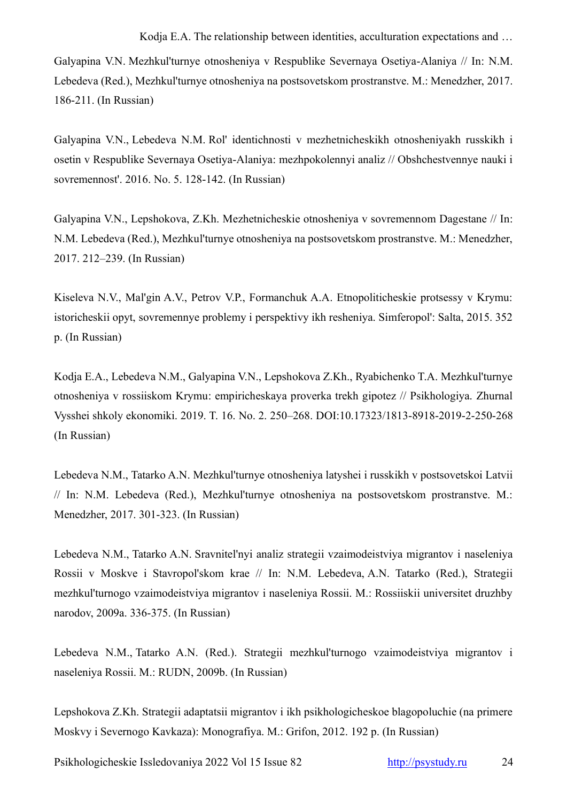Galyapina V.N. Mezhkul'turnye otnosheniya v Respublike Severnaya Osetiya-Alaniya // In: N.M. Lebedeva (Red.), Mezhkul'turnye otnosheniya na postsovetskom prostranstve. M.: Menedzher, 2017. 186-211. (In Russian)

Galyapina V.N., Lebedeva N.M. Rol' identichnosti v mezhetnicheskikh otnosheniyakh russkikh i osetin v Respublike Severnaya Osetiya-Alaniya: mezhpokolennyi analiz // Obshchestvennye nauki i sovremennost'. 2016. No. 5. 128-142. (In Russian)

Galyapina V.N., Lepshokova, Z.Kh. Mezhetnicheskie otnosheniya v sovremennom Dagestane // In: N.M. Lebedeva (Red.), Mezhkul'turnye otnosheniya na postsovetskom prostranstve. M.: Menedzher, 2017. 212–239. (In Russian)

Kiseleva N.V., Mal'gin A.V., Petrov V.P., Formanchuk A.A. Etnopoliticheskie protsessy v Krymu: istoricheskii opyt, sovremennye problemy i perspektivy ikh resheniya. Simferopol': Salta, 2015. 352 р. (In Russian)

Kodja E.A., Lebedeva N.M., Galyapina V.N., Lepshokova Z.Kh., Ryabichenko T.A. Mezhkul'turnye otnosheniya v rossiiskom Krymu: empiricheskaya proverka trekh gipotez // Psikhologiya. Zhurnal Vysshei shkoly ekonomiki. 2019. T. 16. No. 2. 250–268. DOI[:10.17323/1813-8918-2019-2-250-268](http://doi.org/10.17323/1813-8918-2019-2-250-268) (In Russian)

Lebedeva N.M., Tatarko A.N. Mezhkul'turnye otnosheniya latyshei i russkikh v postsovetskoi Latvii // In: N.M. Lebedeva (Red.), Mezhkul'turnye otnosheniya na postsovetskom prostranstve. M.: Menedzher, 2017. 301-323. (In Russian)

Lebedeva N.M., Tatarko A.N. Sravnitel'nyi analiz strategii vzaimodeistviya migrantov i naseleniya Rossii v Moskve i Stavropol'skom krae // In: N.M. Lebedeva, A.N. Tatarko (Red.), Strategii mezhkul'turnogo vzaimodeistviya migrantov i naseleniya Rossii. M.: Rossiiskii universitet druzhby narodov, 2009a. 336-375. (In Russian)

Lebedeva N.M., Tatarko A.N. (Red.). Strategii mezhkul'turnogo vzaimodeistviya migrantov i naseleniya Rossii. M.: RUDN, 2009b. (In Russian)

Lepshokova Z.Kh. Strategii adaptatsii migrantov i ikh psikhologicheskoe blagopoluchie (na primere Moskvy i Severnogo Kavkaza): Monografiya. M.: Grifon, 2012. 192 p. (In Russian)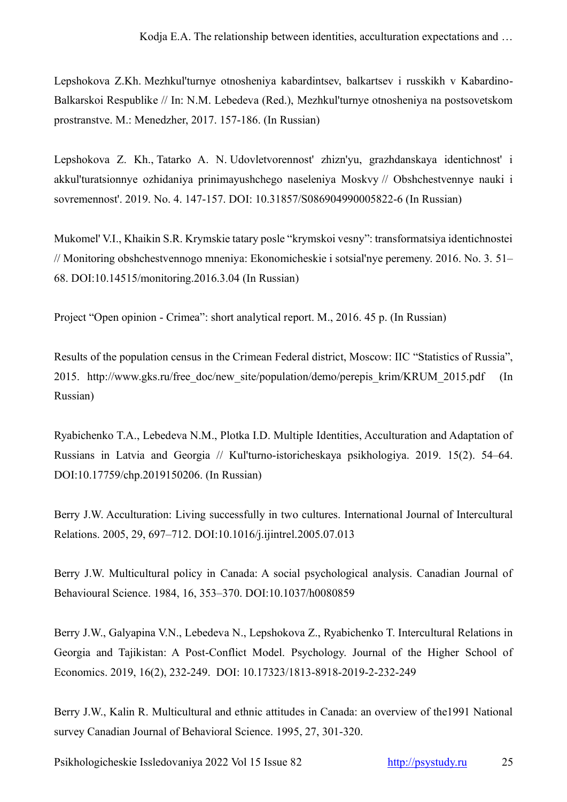Lepshokova Z.Kh. Mezhkul'turnye otnosheniya kabardintsev, balkartsev i russkikh v Kabardino-Balkarskoi Respublike // In: N.M. Lebedeva (Red.), Mezhkul'turnye otnosheniya na postsovetskom prostranstve. M.: Menedzher, 2017. 157-186. (In Russian)

Lepshokova Z. Kh., Tatarko A. N. Udovletvorennost' zhizn'yu, grazhdanskaya identichnost' i akkul'turatsionnye ozhidaniya prinimayushchego naseleniya Moskvy // Obshchestvennye nauki i sovremennost'. 2019. No. 4. 147-157. DOI: 10.31857/S086904990005822-6 (In Russian)

Mukomel' V.I., Khaikin S.R. Krymskie tatary posle "krymskoi vesny": transformatsiya identichnostei // Monitoring obshchestvennogo mneniya: Ekonomicheskie i sotsial'nye peremeny. 2016. No. 3. 51– 68. DOI:10.14515/monitoring.2016.3.04 (In Russian)

Project "Open opinion - Crimea": short analytical report. М., 2016. 45 p. (In Russian)

Results of the population census in the Crimean Federal district, Moscow: IIC "Statistics of Russia", 2015. http://www.gks.ru/free\_doc/new\_site/population/demo/perepis\_krim/KRUM\_2015.pdf (In Russian)

Ryabichenko T.A., Lebedeva N.M., Plotka I.D. Multiple Identities, Acculturation and Adaptation of Russians in Latvia and Georgia // Kul'turno-istoricheskaya psikhologiya. 2019. 15(2). 54–64. DOI:10.17759/chp.2019150206. (In Russian)

Berry J.W. Acculturation: Living successfully in two cultures. International Journal of Intercultural Relations. 2005, 29, 697–712. DOI:10.1016/j.ijintrel.2005.07.013

Berry J.W. Multicultural policy in Canada: A social psychological analysis. Canadian Journal of Behavioural Science. 1984, 16, 353–370. DOI:10.1037/h0080859

[Berry J.W.,](https://www.hse.ru/en/org/persons/124178813) Galyapina V.N., Lebedeva N., Lepshokova Z., Ryabichenko T. Intercultural Relations in Georgia and Tajikistan: A Post-Conflict Model. Psychology. Journal of the Higher School of Economics. 2019, 16(2), 232-249. [DOI: 10.17323/1813-8918-2019-2-232-249](http://doi.org/10.17323/1813-8918-2019-2-232-249)

Berry J.W., Kalin R. Multicultural and ethnic attitudes in Canada: an overview of the1991 National survey Canadian Journal of Behavioral Science. 1995, 27, 301-320.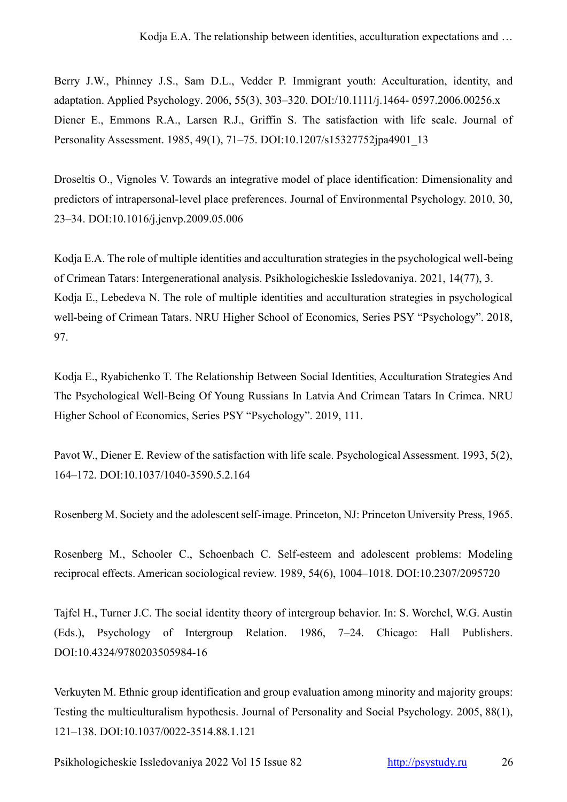Berry J.W., Phinney J.S., Sam D.L., Vedder P. Immigrant youth: Acculturation, identity, and adaptation. Applied Psychology. 2006, 55(3), 303–320. DOI:/10.1111/j.1464- 0597.2006.00256.x Diener E., Emmons R.A., Larsen R.J., Griffin S. The satisfaction with life scale. Journal of Personality Assessment. 1985, 49(1), 71–75. DOI[:10.1207/s15327752jpa4901\\_13](https://doi.org/10.1207/s15327752jpa4901_13)

Droseltis O., Vignoles V. Towards an integrative model of place identification: Dimensionality and predictors of intrapersonal-level place preferences. Journal of Environmental Psychology. 2010, 30, 23–34. DOI:10.1016/j.jenvp.2009.05.006

Kodja E.A. The role of multiple identities and acculturation strategies in the psychological well-being of Crimean Tatars: Intergenerational analysis. Psikhologicheskie Issledovaniya. 2021, 14(77), 3. Kodja E., [Lebedeva N.](https://www.hse.ru/en/org/persons/140031) [The role of multiple identities and acculturation strategies in psychological](https://publications.hse.ru/view/226229342)  [well-being of Crimean Tatars.](https://publications.hse.ru/view/226229342) NRU Higher School of Economics, Series PSY "Psychology". 2018, 97.

Kodja E., [Ryabichenko T.](https://www.hse.ru/en/org/persons/36853282) The Relationship Between Social Identities, Acculturation Strategies And The Psychological Well-Being Of Young Russians In Latvia And Crimean Tatars In Crimea. NRU Higher School of Economics, Series PSY "Psychology". 2019, 111.

Pavot W., Diener E. Review of the satisfaction with life scale. Psychological Assessment. 1993, 5(2), 164–172. DOI:10.1037/1040-3590.5.2.164

Rosenberg M. Society and the adolescent self-image. Princeton, NJ: Princeton University Press, 1965.

Rosenberg M., Schooler C., Schoenbach C. Self-esteem and adolescent problems: Modeling reciprocal effects. American sociological review. 1989, 54(6), 1004–1018. DOI:10.2307/2095720

Tajfel H., Turner J.C. The social identity theory of intergroup behavior. In: S. Worchel, W.G. Austin (Eds.), Psychology of Intergroup Relation. 1986, 7–24. Chicago: Hall Publishers. DOI:10.4324/9780203505984-16

Verkuyten M. Ethnic group identification and group evaluation among minority and majority groups: Testing the multiculturalism hypothesis. Journal of Personality and Social Psychology. 2005, 88(1), 121–138. DOI:10.1037/0022-3514.88.1.121